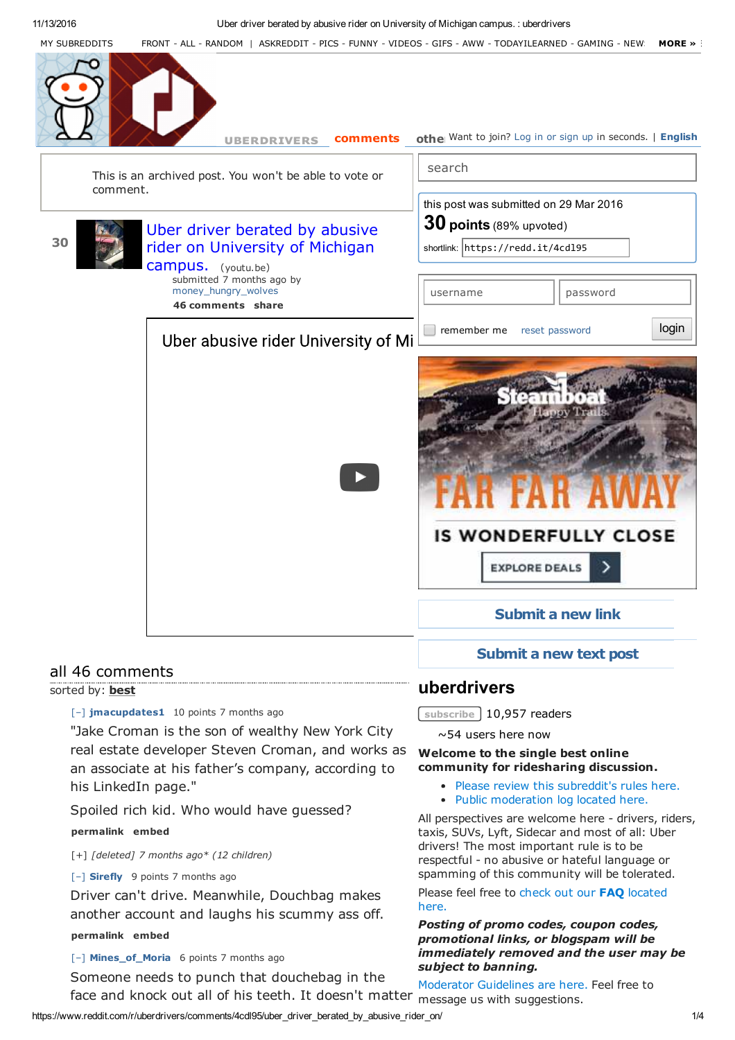

"Jake Croman is the son of wealthy New York City real estate developer Steven Croman, and works as an associate at his father's company, according to his LinkedIn page."

Spoiled rich kid. Who would have guessed?

## **permalink embed**

[+] *[deleted] 7 months ago\* (12 children)*

[–] **Sirefly** 9 points 7 months ago

Driver can't drive. Meanwhile, Douchbag makes another account and laughs his scummy ass off.

### **permalink embed**

[–] **Mines\_of\_Moria** 6 points 7 months ago

Someone needs to punch that douchebag in the face and knock out all of his teeth. It doesn't matter

**subscribe** 10,957 readers

~54 users here now

## **Welcome to the single best online community for ridesharing discussion.**

- Please review this subreddit's rules here.
- Public moderation log located here.

All perspectives are welcome here - drivers, riders, taxis, SUVs, Lyft, Sidecar and most of all: Uber drivers! The most important rule is to be respectful - no abusive or hateful language or spamming of this community will be tolerated.

Please feel free to check out our **FAQ** located here.

## *Posting of promo codes, coupon codes, promotional links, or blogspam will be immediately removed and the user may be subject to banning.*

Moderator Guidelines are here. Feel free to message us with suggestions.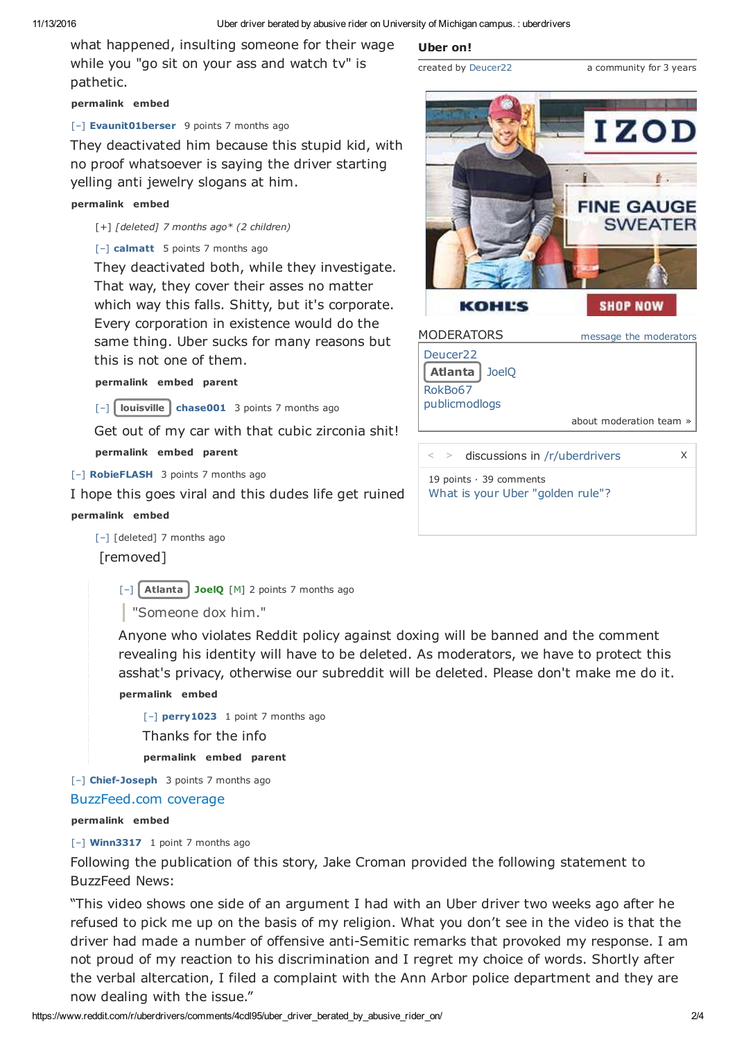**Uber on!**

created by Deucer22

what happened, insulting someone for their wage while you "go sit on your ass and watch tv" is pathetic.

## **permalink embed**

## [–] **Evaunit01berser** 9 points 7 months ago

They deactivated him because this stupid kid, with no proof whatsoever is saying the driver starting yelling anti jewelry slogans at him.

### **permalink embed**

[+] *[deleted] 7 months ago\* (2 children)*

## [–] **calmatt** 5 points 7 months ago

They deactivated both, while they investigate. That way, they cover their asses no matter which way this falls. Shitty, but it's corporate. Every corporation in existence would do the same thing. Uber sucks for many reasons but this is not one of them.

## **permalink embed parent**

[–] **louisville chase001** 3 points 7 months ago

Get out of my car with that cubic zirconia shit! **permalink embed parent**

[–] **RobieFLASH** 3 points 7 months ago

I hope this goes viral and this dudes life get ruined **permalink embed**

[–] [deleted] 7 months ago [removed]

[–] **Atlanta JoelQ** [M] 2 points 7 months ago

"Someone dox him."

Anyone who violates Reddit policy against doxing will be banned and the comment revealing his identity will have to be deleted. As moderators, we have to protect this asshat's privacy, otherwise our subreddit will be deleted. Please don't make me do it.

**permalink embed**

[–] **perry1023** 1 point 7 months ago Thanks for the info **permalink embed parent**

[–] **Chief-Joseph** 3 points 7 months ago

BuzzFeed.com coverage

## **permalink embed**

[–] **Winn3317** 1 point 7 months ago

Following the publication of this story, Jake Croman provided the following statement to BuzzFeed News:

"This video shows one side of an argument I had with an Uber driver two weeks ago after he refused to pick me up on the basis of my religion. What you don't see in the video is that the driver had made a number of offensive anti-Semitic remarks that provoked my response. I am not proud of my reaction to his discrimination and I regret my choice of words. Shortly after the verbal altercation, I filed a complaint with the Ann Arbor police department and they are now dealing with the issue."



a community for 3 years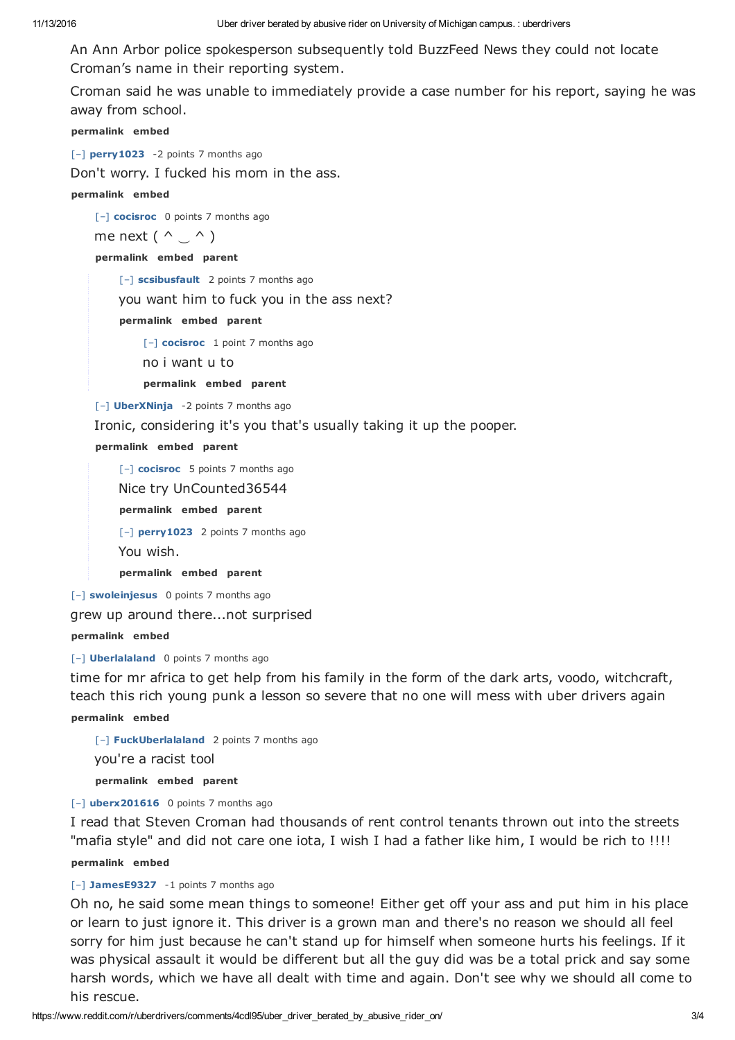An Ann Arbor police spokesperson subsequently told BuzzFeed News they could not locate Croman's name in their reporting system.

Croman said he was unable to immediately provide a case number for his report, saying he was away from school.

**permalink embed**

[–] **perry1023** -2 points 7 months ago

Don't worry. I fucked his mom in the ass.

**permalink embed**

[–] **cocisroc** 0 points 7 months ago

me next ( $\wedge \cup \wedge$ )

**permalink embed parent**

[–] **scsibusfault** 2 points 7 months ago

you want him to fuck you in the ass next?

**permalink embed parent**

[–] **cocisroc** 1 point 7 months ago

no i want u to

**permalink embed parent**

[–] **UberXNinja** -2 points 7 months ago

Ironic, considering it's you that's usually taking it up the pooper.

**permalink embed parent**

[–] **cocisroc** 5 points 7 months ago

Nice try UnCounted36544

**permalink embed parent**

[–] **perry1023** 2 points 7 months ago

You wish.

**permalink embed parent**

[–] **swoleinjesus** 0 points 7 months ago

grew up around there...not surprised

**permalink embed**

[–] **Uberlalaland** 0 points 7 months ago

time for mr africa to get help from his family in the form of the dark arts, voodo, witchcraft, teach this rich young punk a lesson so severe that no one will mess with uber drivers again

**permalink embed**

[–] **FuckUberlalaland** 2 points 7 months ago you're a racist tool **permalink embed parent**

[–] **uberx201616** 0 points 7 months ago

I read that Steven Croman had thousands of rent control tenants thrown out into the streets "mafia style" and did not care one iota, I wish I had a father like him, I would be rich to !!!!

**permalink embed**

# [–] **JamesE9327** -1 points 7 months ago

Oh no, he said some mean things to someone! Either get off your ass and put him in his place or learn to just ignore it. This driver is a grown man and there's no reason we should all feel sorry for him just because he can't stand up for himself when someone hurts his feelings. If it was physical assault it would be different but all the guy did was be a total prick and say some harsh words, which we have all dealt with time and again. Don't see why we should all come to his rescue.